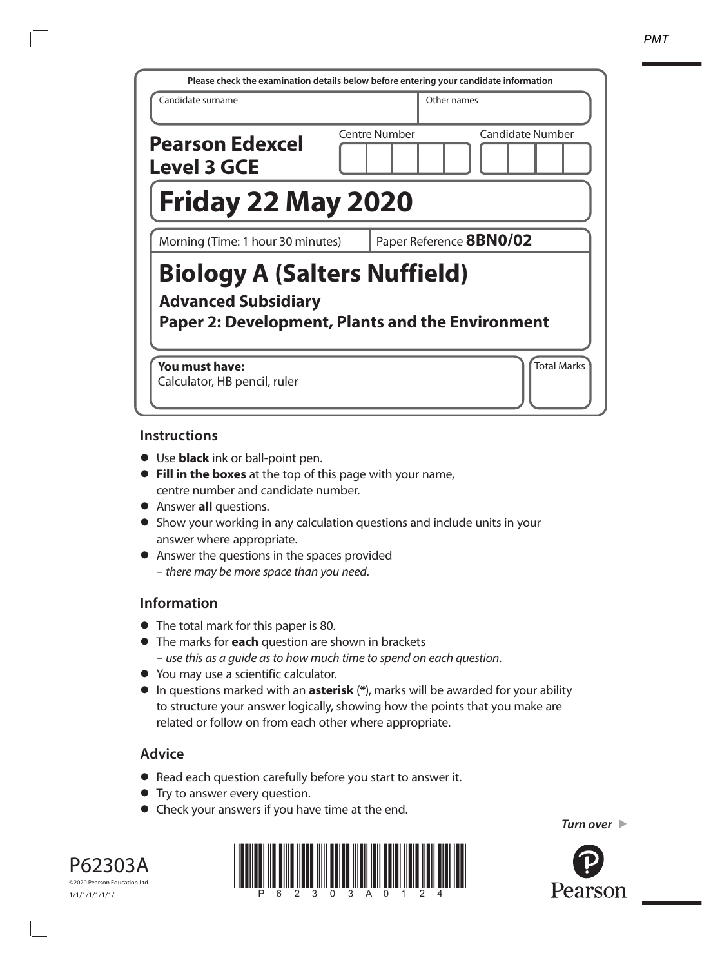| Please check the examination details below before entering your candidate information                                        |  |               |             |                         |  |
|------------------------------------------------------------------------------------------------------------------------------|--|---------------|-------------|-------------------------|--|
| Candidate surname                                                                                                            |  |               | Other names |                         |  |
| <b>Pearson Edexcel</b><br><b>Level 3 GCE</b>                                                                                 |  | Centre Number |             | <b>Candidate Number</b> |  |
| Friday 22 May 2020                                                                                                           |  |               |             |                         |  |
| Morning (Time: 1 hour 30 minutes)                                                                                            |  |               |             | Paper Reference 8BN0/02 |  |
| <b>Biology A (Salters Nuffield)</b><br><b>Advanced Subsidiary</b><br><b>Paper 2: Development, Plants and the Environment</b> |  |               |             |                         |  |
| You must have:                                                                                                               |  |               |             | <b>Total Marks</b>      |  |

### **Instructions**

- **•** Use **black** ink or ball-point pen.
- **• Fill in the boxes** at the top of this page with your name, centre number and candidate number.
- **•** Answer **all** questions.
- **•** Show your working in any calculation questions and include units in your answer where appropriate.
- **•** Answer the questions in the spaces provided – *there may be more space than you need*.

## **Information**

- **•** The total mark for this paper is 80.
- **•** The marks for **each** question are shown in brackets – *use this as a guide as to how much time to spend on each question*.
- **•** You may use a scientific calculator.
- **•** In questions marked with an **asterisk** (**\***), marks will be awarded for your ability to structure your answer logically, showing how the points that you make are related or follow on from each other where appropriate.

# **Advice**

- **•** Read each question carefully before you start to answer it.
- **•** Try to answer every question.
- **•** Check your answers if you have time at the end.

*Turn over* 





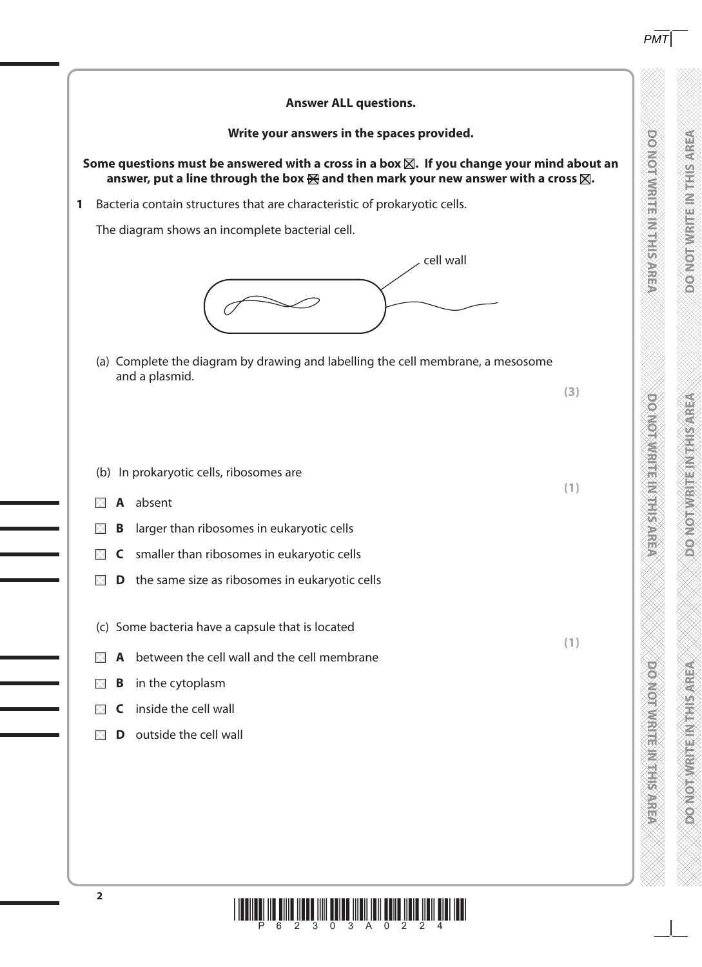**(3)**

**(1)**

**(1)**

#### **Answer ALL questions.**

#### **Write your answers in the spaces provided.**

Some questions must be answered with a cross in a box  $\boxtimes$ . If you change your mind about an answer, put a line through the box  $\mathbb{\mathbb{R}}$  and then mark your new answer with a cross  $\mathbb{X}$ .

**1** Bacteria contain structures that are characteristic of prokaryotic cells.

The diagram shows an incomplete bacterial cell.



(a) Complete the diagram by drawing and labelling the cell membrane, a mesosome and a plasmid.

(b) In prokaryotic cells, ribosomes are

**A** absent

- **B** larger than ribosomes in eukaryotic cells
- **C** smaller than ribosomes in eukaryotic cells
- **D** the same size as ribosomes in eukaryotic cells
- (c) Some bacteria have a capsule that is located
- **A** between the cell wall and the cell membrane
- **B** in the cytoplasm
- **C** inside the cell wall
- **D** outside the cell wall

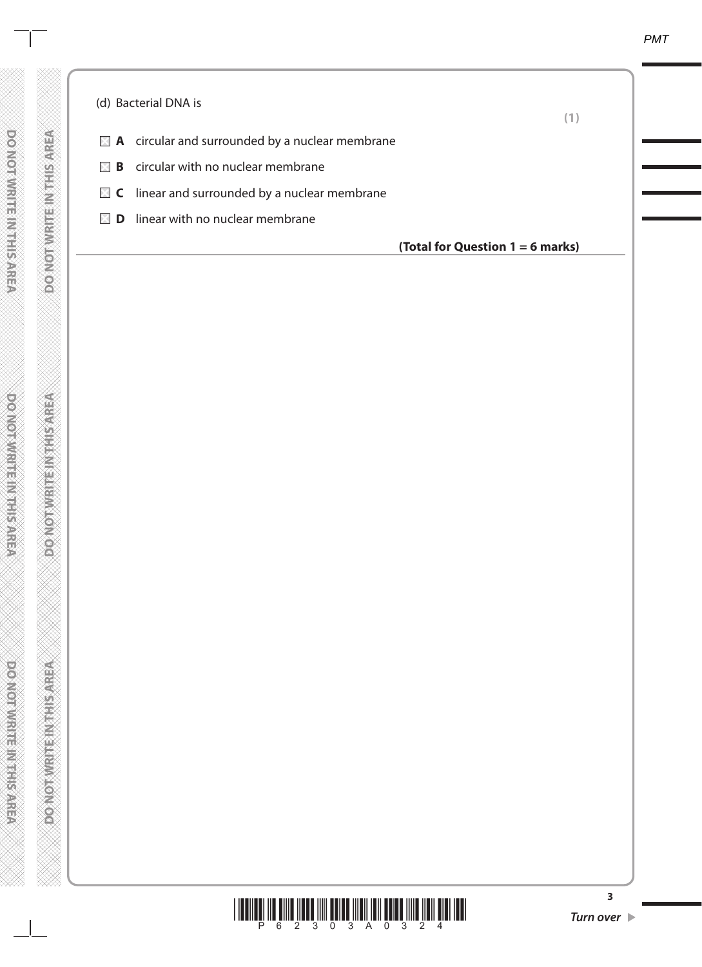| (d) Bacterial DNA is                                                  | (1) |
|-----------------------------------------------------------------------|-----|
| $\blacksquare$ <b>A</b> circular and surrounded by a nuclear membrane |     |
| $\boxtimes$ <b>B</b> circular with no nuclear membrane                |     |
| $\blacksquare$ C linear and surrounded by a nuclear membrane          |     |
| $\vert$ <b>D</b> linear with no nuclear membrane<br>ÞЗ                |     |

**(Total for Question 1 = 6 marks)**



**3**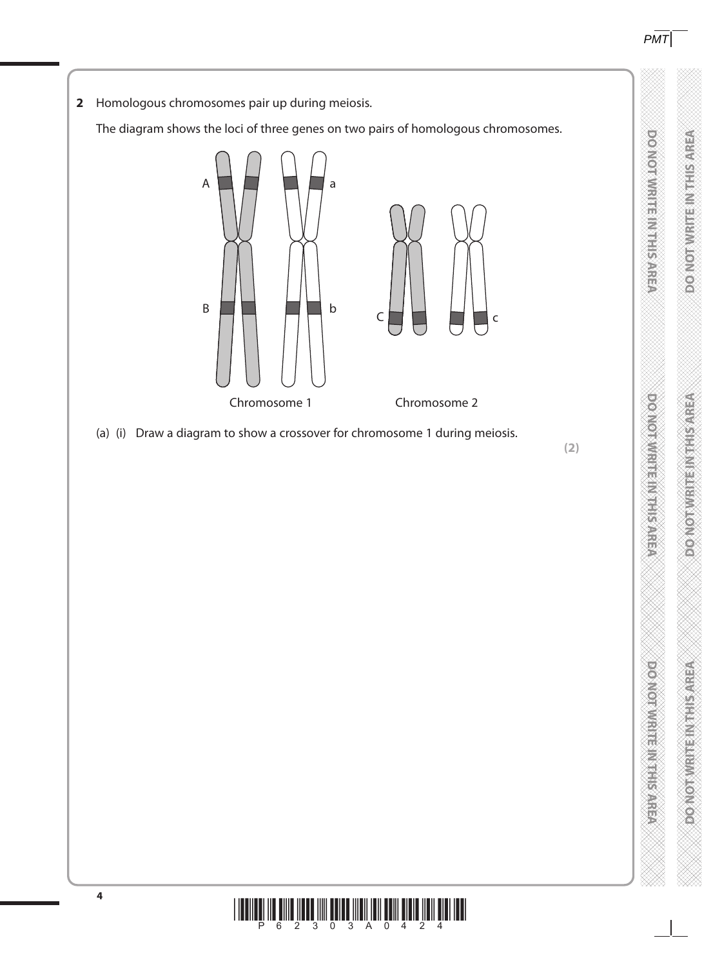**DO NOT WRITE IN THE INTERNATIONAL CONTRACT IN THE INTERNATIONAL CONTRACT IN THE INTERNATIONAL CONTRACT IN THE** 

DO NOT WRITE IN THIS AREA

**DO NOT WRITE IN THE INTERNATIONAL CONTRACTOR** 

**DO NOTWRITE IN THIS AREA** 

**DO NOT WRITE IN THIS AREA**

**DOMOTIVIRIE MITHIS AREA** 

**2** Homologous chromosomes pair up during meiosis. The diagram shows the loci of three genes on two pairs of homologous chromosomes. A B a  $\overline{b}$  c c d d  $\overline{d}$ Chromosome 1 Chromosome 2 (a) (i) Draw a diagram to show a crossover for chromosome 1 during meiosis. **(2)**

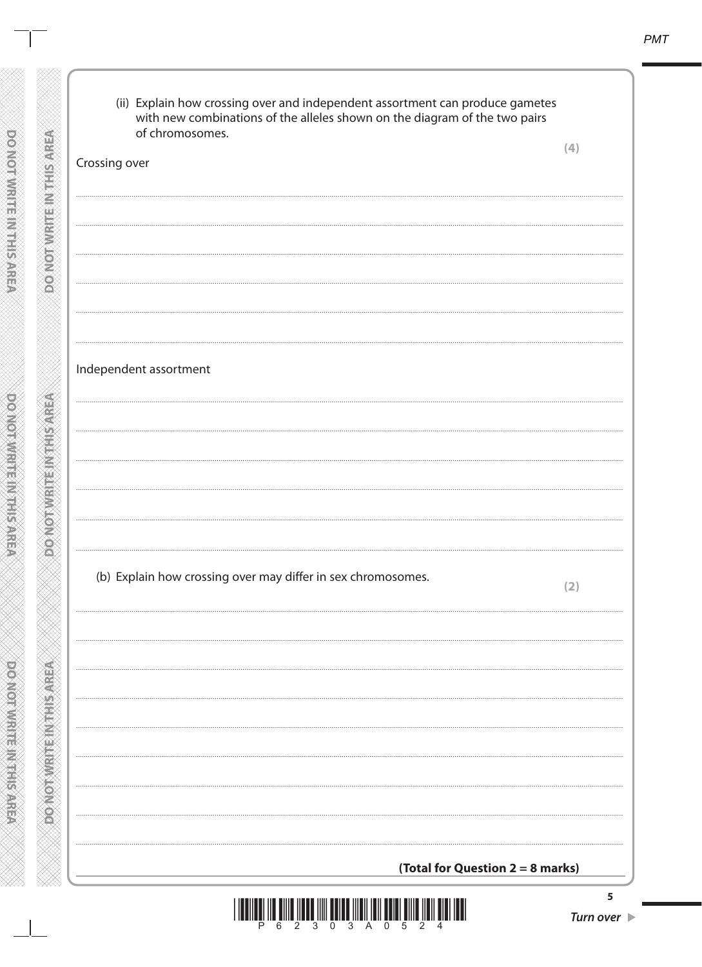| with new combinations of the alleles shown on the diagram of the two pairs<br>of chromosomes. |     |
|-----------------------------------------------------------------------------------------------|-----|
| Crossing over                                                                                 | (4) |
|                                                                                               |     |
|                                                                                               |     |
|                                                                                               |     |
|                                                                                               |     |
|                                                                                               |     |
|                                                                                               |     |
|                                                                                               |     |
| Independent assortment                                                                        |     |
|                                                                                               |     |
|                                                                                               |     |
|                                                                                               |     |
|                                                                                               |     |
|                                                                                               |     |
|                                                                                               |     |
|                                                                                               |     |
| (b) Explain how crossing over may differ in sex chromosomes.                                  | (2) |
|                                                                                               |     |
|                                                                                               |     |
|                                                                                               |     |
|                                                                                               |     |
|                                                                                               |     |
|                                                                                               |     |
|                                                                                               |     |
|                                                                                               |     |
|                                                                                               |     |
|                                                                                               |     |
| (Total for Question 2 = 8 marks)                                                              |     |

**DONOT WRITE IN THIS AREA** 

**DONOT WRITEIN THIS AREA**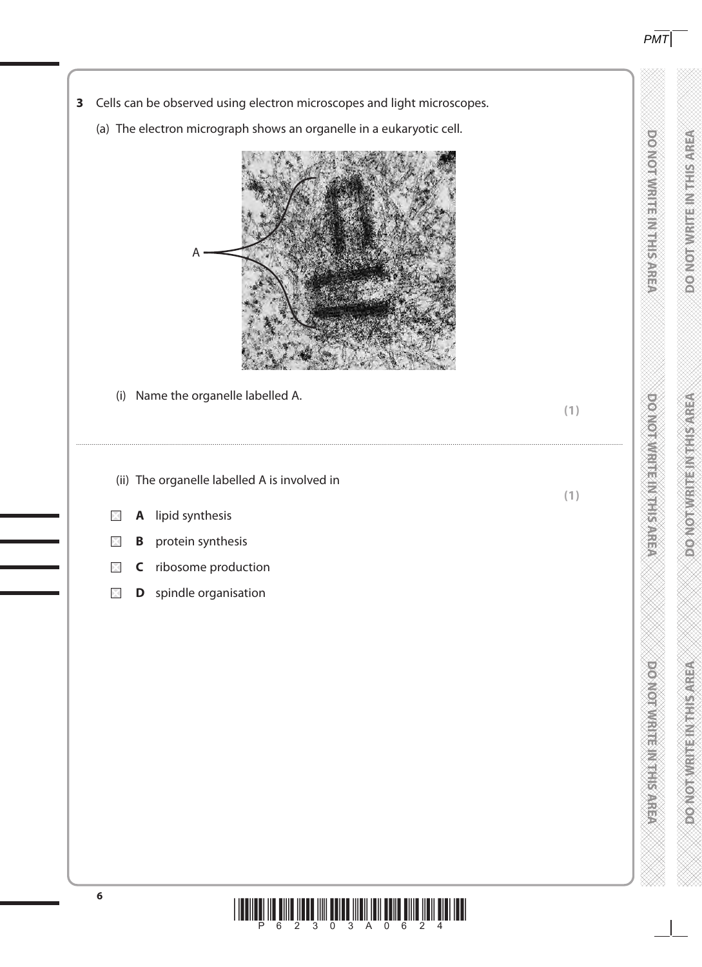**DO NOT WRITE IN THIS AREA DO NOT WRITE IN THE INTERNATIONAL CONTRACT IN THE INTERNATIONAL CONTRACT IN THE INTERNATIONAL CONTRACT IN THE** 

**(1)**

**(1)**

**DO NOT WRITE IN THIS AREA** 



**3** Cells can be observed using electron microscopes and light microscopes.

(a) The electron micrograph shows an organelle in a eukaryotic cell.

- **C** ribosome production
- **D** spindle organisation

<u>weg weg and wed and well find the same was also that</u>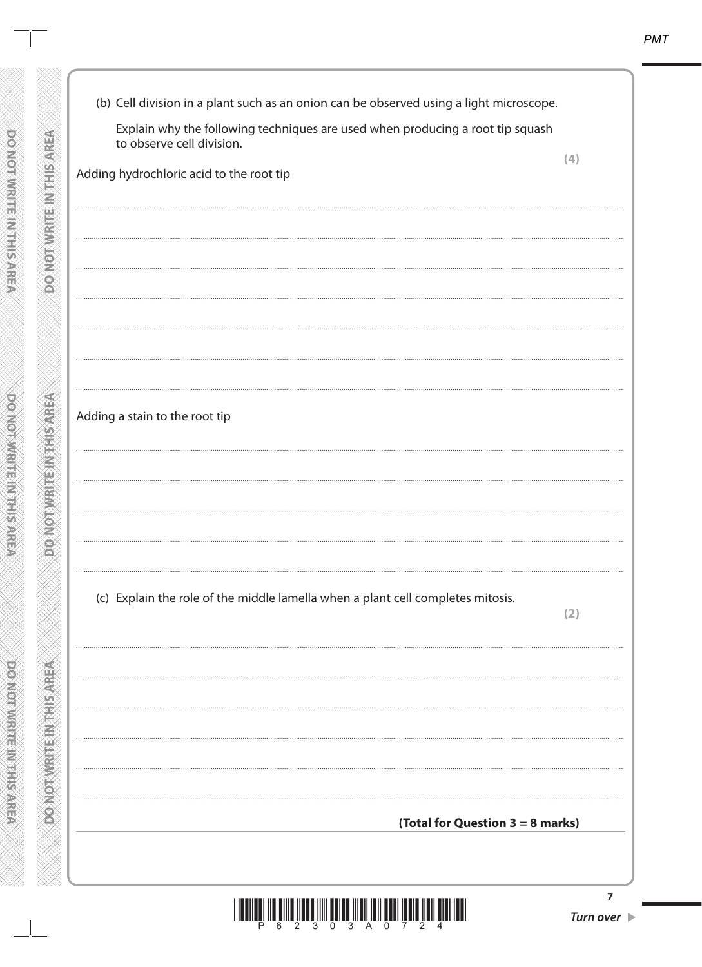| Explain why the following techniques are used when producing a root tip squash<br>to observe cell division. |     |
|-------------------------------------------------------------------------------------------------------------|-----|
|                                                                                                             | (4) |
| Adding hydrochloric acid to the root tip                                                                    |     |
|                                                                                                             |     |
|                                                                                                             |     |
|                                                                                                             |     |
|                                                                                                             |     |
|                                                                                                             |     |
|                                                                                                             |     |
|                                                                                                             |     |
|                                                                                                             |     |
|                                                                                                             |     |
|                                                                                                             |     |
| Adding a stain to the root tip                                                                              |     |
|                                                                                                             |     |
|                                                                                                             |     |
|                                                                                                             |     |
|                                                                                                             |     |
|                                                                                                             |     |
|                                                                                                             |     |
|                                                                                                             |     |
| (c) Explain the role of the middle lamella when a plant cell completes mitosis.                             |     |
|                                                                                                             | (2) |
|                                                                                                             |     |
|                                                                                                             |     |
|                                                                                                             |     |
|                                                                                                             |     |
|                                                                                                             |     |
|                                                                                                             |     |
|                                                                                                             |     |
|                                                                                                             |     |
| (Total for Question 3 = 8 marks)                                                                            |     |
|                                                                                                             |     |
|                                                                                                             |     |

**DONOT WRITE IN THIS AREA** 

**COONOT METERN THIS AREA** 

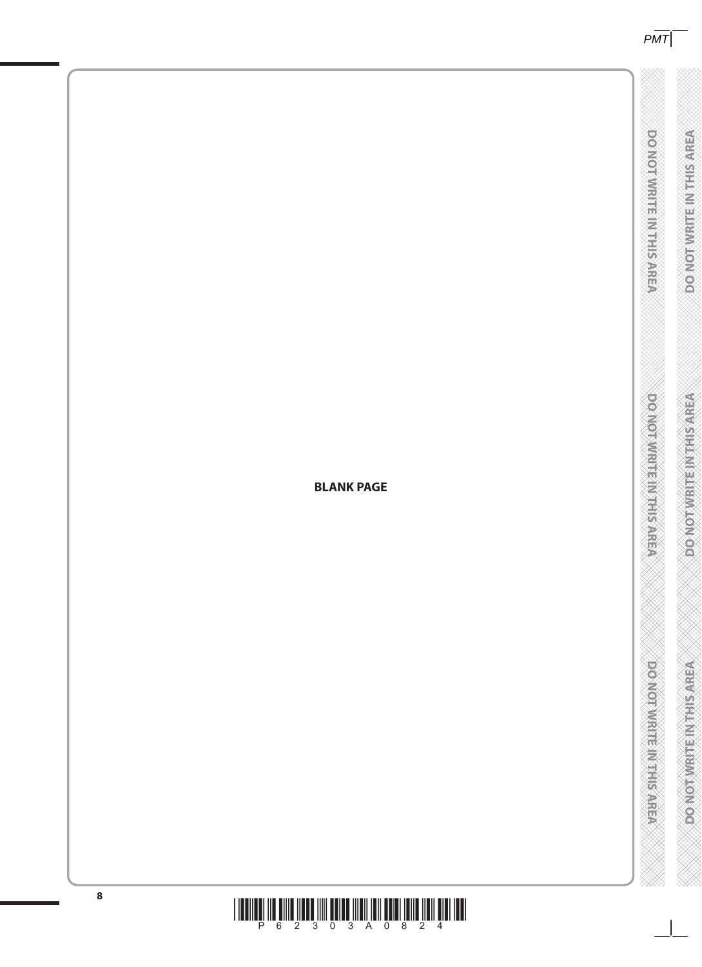**DO NOT WRITE IN THIS AREA** 

DO NOT WRITE IN THIS AREA

RRAND



**BLANK PAGE**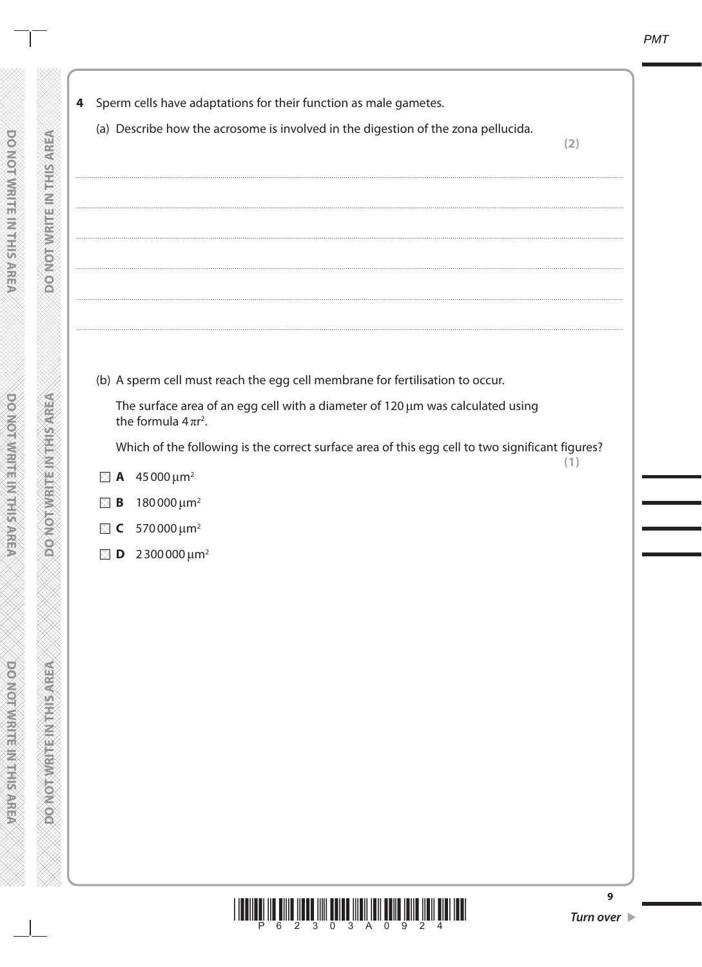4 Sperm cells have adaptations for their function as male gametes. (a) Describe how the acrosome is involved in the digestion of the zona pellucida.  $(2)$ (b) A sperm cell must reach the egg cell membrane for fertilisation to occur. The surface area of an egg cell with a diameter of  $120 \mu m$  was calculated using the formula  $4\pi r^2$ . Which of the following is the correct surface area of this egg cell to two significant figures?  $(1)$ **A** 45 000  $\mu$ m<sup>2</sup> **B** 180 000  $\mu$ m<sup>2</sup>  $\Box$  C 570000  $\mu$ m<sup>2</sup> **D** 2300000  $\mu$ m<sup>2</sup>



**RESIDENT RESIDENCE** 

**DOANOTAWRETH NATIONALES**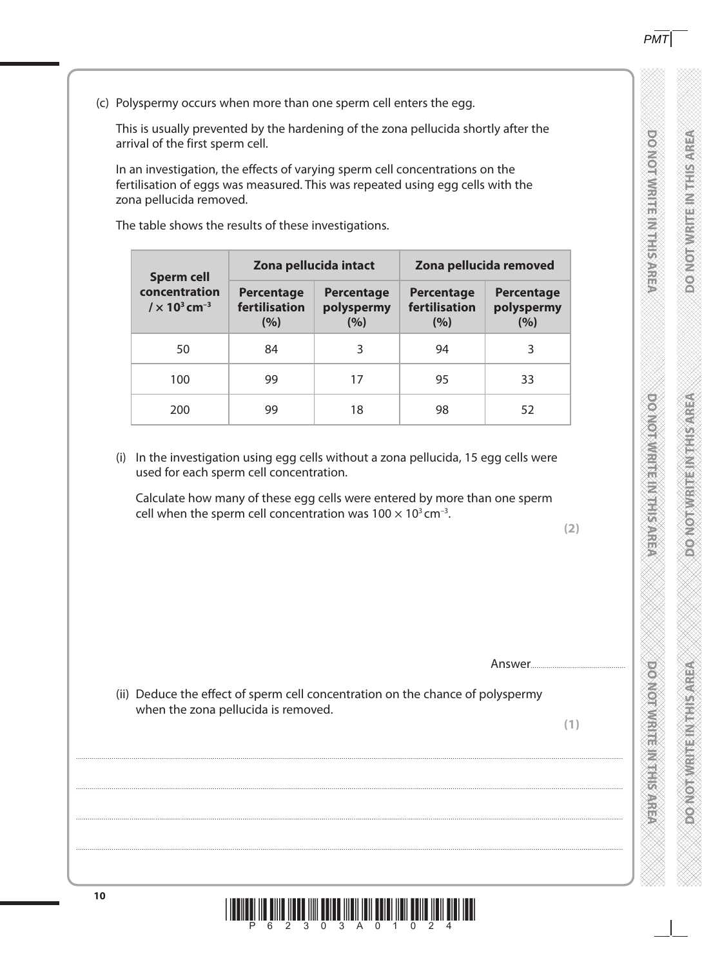**MONODIAN ENGINEERING DO NOT WRITE IN THIS AREA**

(c) Polyspermy occurs when more than one sperm cell enters the egg.

 This is usually prevented by the hardening of the zona pellucida shortly after the arrival of the first sperm cell.

 In an investigation, the effects of varying sperm cell concentrations on the fertilisation of eggs was measured. This was repeated using egg cells with the zona pellucida removed.

|                                                     | <b>Sperm cell</b> | Zona pellucida intact                     |                                        | Zona pellucida removed                    |                                        |  |
|-----------------------------------------------------|-------------------|-------------------------------------------|----------------------------------------|-------------------------------------------|----------------------------------------|--|
| concentration<br>$/ \times 10^{3}$ cm <sup>-3</sup> |                   | <b>Percentage</b><br>fertilisation<br>(%) | <b>Percentage</b><br>polyspermy<br>(%) | <b>Percentage</b><br>fertilisation<br>(%) | <b>Percentage</b><br>polyspermy<br>(%) |  |
|                                                     | 50                | 84                                        | 3                                      | 94                                        | 3                                      |  |
|                                                     | 100               | 99                                        | 17                                     | 95                                        | 33                                     |  |
|                                                     | 200               | 99                                        | 18                                     | 98                                        | 52                                     |  |

The table shows the results of these investigations.

 (i) In the investigation using egg cells without a zona pellucida, 15 egg cells were used for each sperm cell concentration.

 Calculate how many of these egg cells were entered by more than one sperm cell when the sperm cell concentration was  $100 \times 10^{3}$  cm<sup>-3</sup>.

**(2)**

 (ii) Deduce the effect of sperm cell concentration on the chance of polyspermy when the zona pellucida is removed.

....................................................................................................................................................................................................................................................................................

....................................................................................................................................................................................................................................................................................

....................................................................................................................................................................................................................................................................................

**(1)**

Answer............

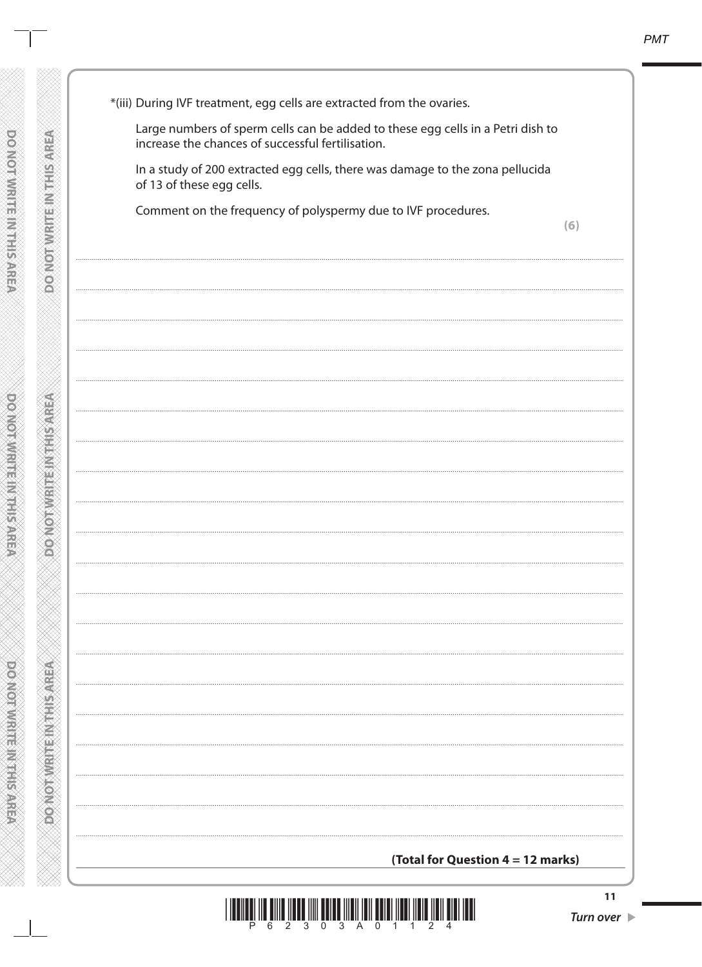

<u>H III DIND III DIN DIND III NI QODI JIDDI JIDDI JI</u>

2 3 0 3 A 0 1 1 2

- 6

*REPRESENTED MARINES* 

**ACTENTS IN EXPERIMENT** 

**RELIGION CREATIONS**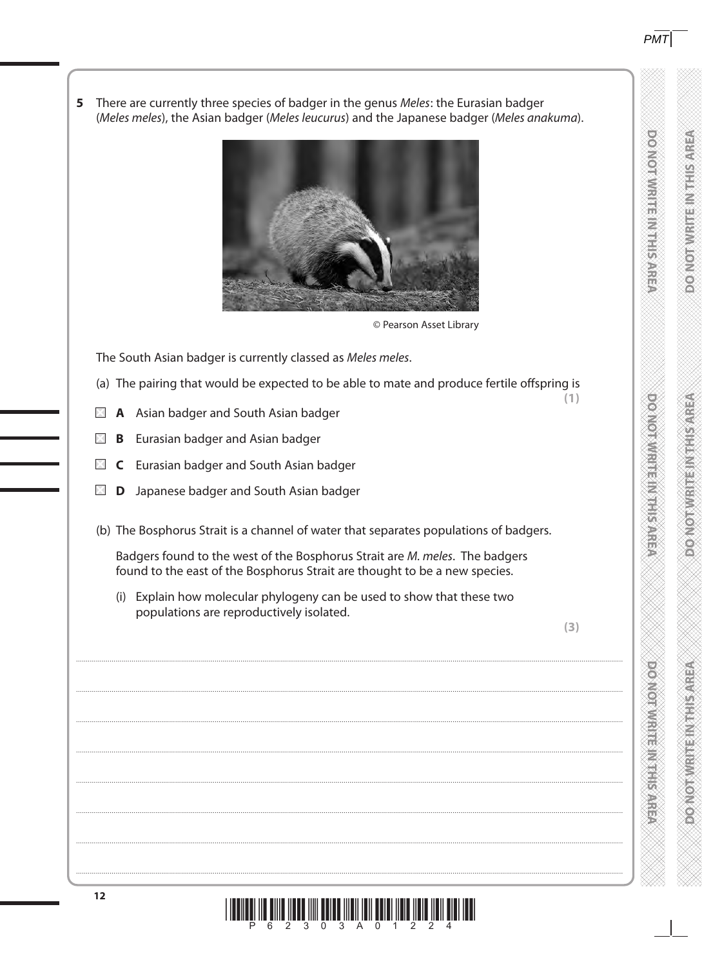**DONORMAN HEAVER SARE** 

5 There are currently three species of badger in the genus Meles: the Eurasian badger (Meles meles), the Asian badger (Meles leucurus) and the Japanese badger (Meles anakuma).



© Pearson Asset Library

The South Asian badger is currently classed as Meles meles.

- (a) The pairing that would be expected to be able to mate and produce fertile offspring is  $(1)$
- A Asian badger and South Asian badger
- $\boxtimes$  **B** Eurasian badger and Asian badger
- $\blacksquare$  C Eurasian badger and South Asian badger
- **D** Japanese badger and South Asian badger
- (b) The Bosphorus Strait is a channel of water that separates populations of badgers.

Badgers found to the west of the Bosphorus Strait are M. meles. The badgers found to the east of the Bosphorus Strait are thought to be a new species.

(i) Explain how molecular phylogeny can be used to show that these two populations are reproductively isolated.

 $(3)$ 

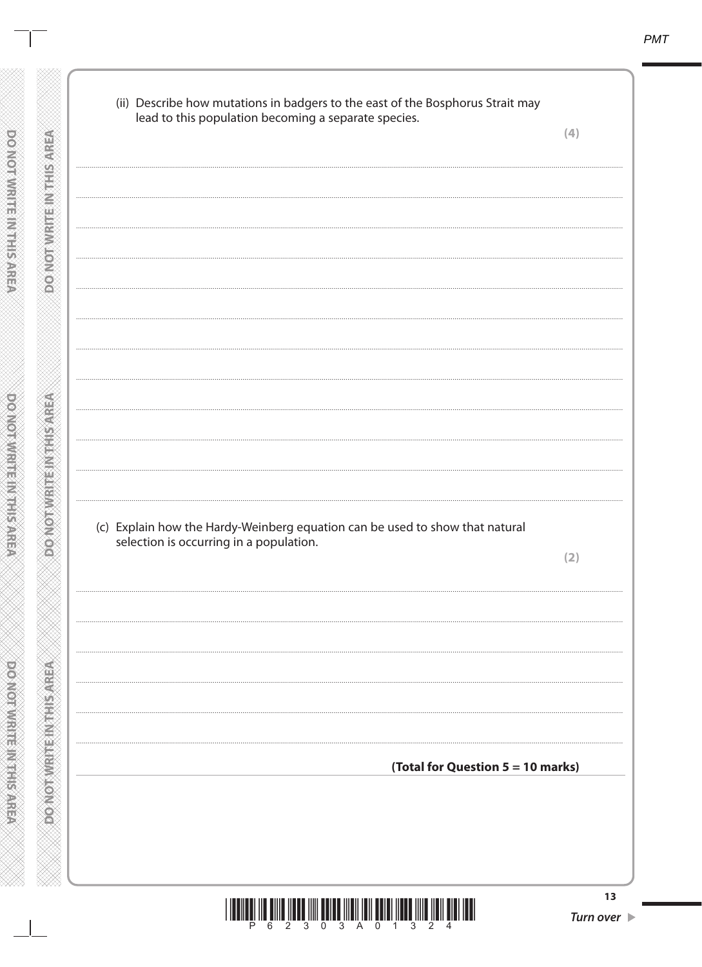| lead to this population becoming a separate species.                                                                    | (4) |
|-------------------------------------------------------------------------------------------------------------------------|-----|
|                                                                                                                         |     |
|                                                                                                                         |     |
|                                                                                                                         |     |
|                                                                                                                         |     |
|                                                                                                                         |     |
|                                                                                                                         |     |
|                                                                                                                         |     |
|                                                                                                                         |     |
|                                                                                                                         |     |
|                                                                                                                         |     |
|                                                                                                                         |     |
|                                                                                                                         |     |
|                                                                                                                         |     |
|                                                                                                                         |     |
|                                                                                                                         |     |
|                                                                                                                         |     |
|                                                                                                                         |     |
|                                                                                                                         |     |
| (c) Explain how the Hardy-Weinberg equation can be used to show that natural<br>selection is occurring in a population. |     |
|                                                                                                                         | (2) |
|                                                                                                                         |     |
|                                                                                                                         |     |
|                                                                                                                         |     |
|                                                                                                                         |     |
|                                                                                                                         |     |
|                                                                                                                         |     |
|                                                                                                                         |     |
|                                                                                                                         |     |
| (Total for Question 5 = 10 marks)                                                                                       |     |
|                                                                                                                         |     |
|                                                                                                                         |     |
|                                                                                                                         |     |

**DONOTWRITEINITHISMREA** 

**CONOTWRITEINTHIS AREA**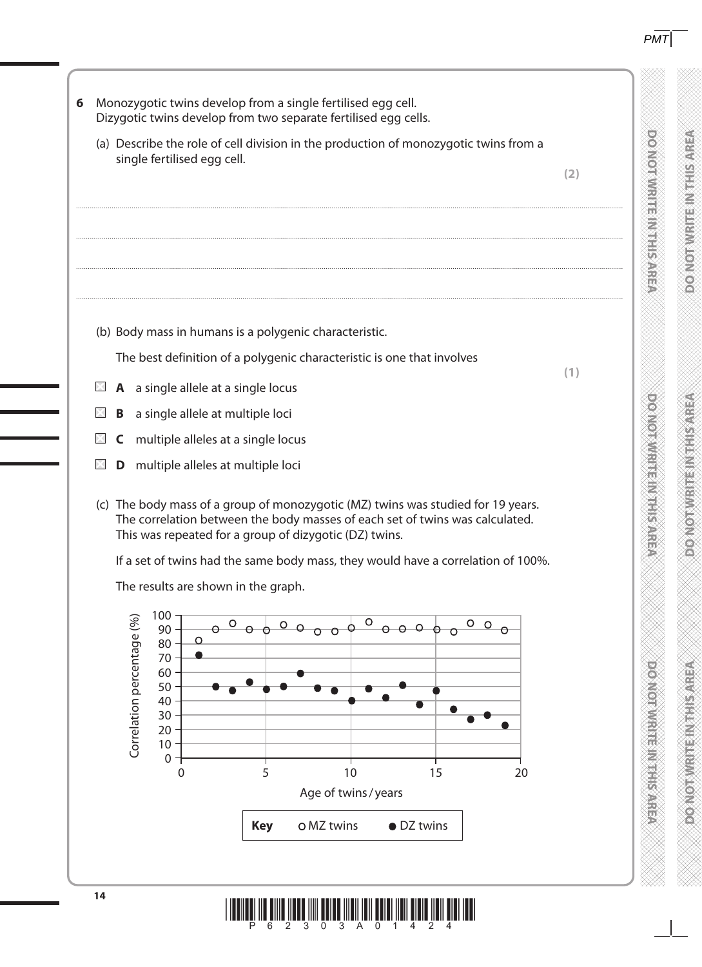DO NOTWRITE IN THIS AREA

**DO NOT WRITE IN THE INTERNATIONAL CONTRACTOR** 

DOONOT WRITE IN THIS AREA

**DO NOT WRITE IN THIS AREA**

**DOONOIN/REFINITELY** 

| 6 | Monozygotic twins develop from a single fertilised egg cell.<br>Dizygotic twins develop from two separate fertilised egg cells.                                                                                            |     |
|---|----------------------------------------------------------------------------------------------------------------------------------------------------------------------------------------------------------------------------|-----|
|   | (a) Describe the role of cell division in the production of monozygotic twins from a<br>single fertilised egg cell.                                                                                                        | (2) |
|   |                                                                                                                                                                                                                            |     |
|   |                                                                                                                                                                                                                            |     |
|   |                                                                                                                                                                                                                            |     |
|   | (b) Body mass in humans is a polygenic characteristic.                                                                                                                                                                     |     |
|   | The best definition of a polygenic characteristic is one that involves                                                                                                                                                     | (1) |
|   | A a single allele at a single locus                                                                                                                                                                                        |     |
|   | a single allele at multiple loci<br>B                                                                                                                                                                                      |     |
|   | multiple alleles at a single locus<br>C                                                                                                                                                                                    |     |
|   | multiple alleles at multiple loci<br>D                                                                                                                                                                                     |     |
|   |                                                                                                                                                                                                                            |     |
|   | (c) The body mass of a group of monozygotic (MZ) twins was studied for 19 years.<br>The correlation between the body masses of each set of twins was calculated.<br>This was repeated for a group of dizygotic (DZ) twins. |     |
|   | If a set of twins had the same body mass, they would have a correlation of 100%.                                                                                                                                           |     |
|   | The results are shown in the graph.                                                                                                                                                                                        |     |
|   |                                                                                                                                                                                                                            |     |
|   | 100<br>Correlation percentage (%)<br>$\circ$<br>$\circ$<br>$\overline{\mathsf{O}}$<br>$\overline{O}$<br>$\circ$<br>000<br>90<br>$\Theta^-$<br>$\circ$<br>80<br>70<br>60<br>50<br>40<br>30<br>20<br>10<br>$\Omega$          |     |

0 5 10 15 20

Age of twins/ years

**Key** OMZ twins **ODZ** twins



 $\overline{\phantom{a}}$ 

0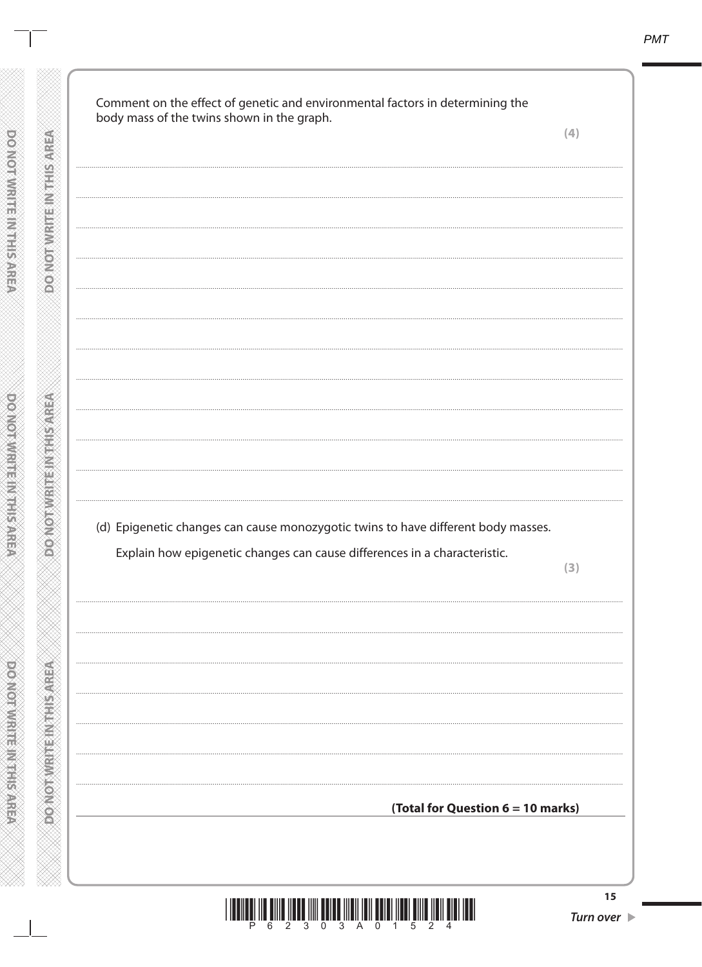| body mass of the twins shown in the graph. |                                                                                   | (4) |
|--------------------------------------------|-----------------------------------------------------------------------------------|-----|
|                                            |                                                                                   |     |
|                                            |                                                                                   |     |
|                                            |                                                                                   |     |
|                                            |                                                                                   |     |
|                                            |                                                                                   |     |
|                                            |                                                                                   |     |
|                                            |                                                                                   |     |
|                                            |                                                                                   |     |
|                                            |                                                                                   |     |
|                                            |                                                                                   |     |
|                                            |                                                                                   |     |
|                                            |                                                                                   |     |
|                                            |                                                                                   |     |
|                                            |                                                                                   |     |
|                                            |                                                                                   |     |
|                                            |                                                                                   |     |
|                                            |                                                                                   |     |
|                                            | (d) Epigenetic changes can cause monozygotic twins to have different body masses. |     |
|                                            | Explain how epigenetic changes can cause differences in a characteristic.         |     |
|                                            |                                                                                   |     |
|                                            |                                                                                   |     |
|                                            |                                                                                   |     |
|                                            |                                                                                   |     |
|                                            |                                                                                   |     |
|                                            |                                                                                   |     |
|                                            |                                                                                   |     |
|                                            |                                                                                   |     |
|                                            |                                                                                   |     |
|                                            |                                                                                   |     |
|                                            | (Total for Question 6 = 10 marks)                                                 |     |

**DONOT WRITE IN THIS AREA** 

DO NOT WRITE IN THIS AREA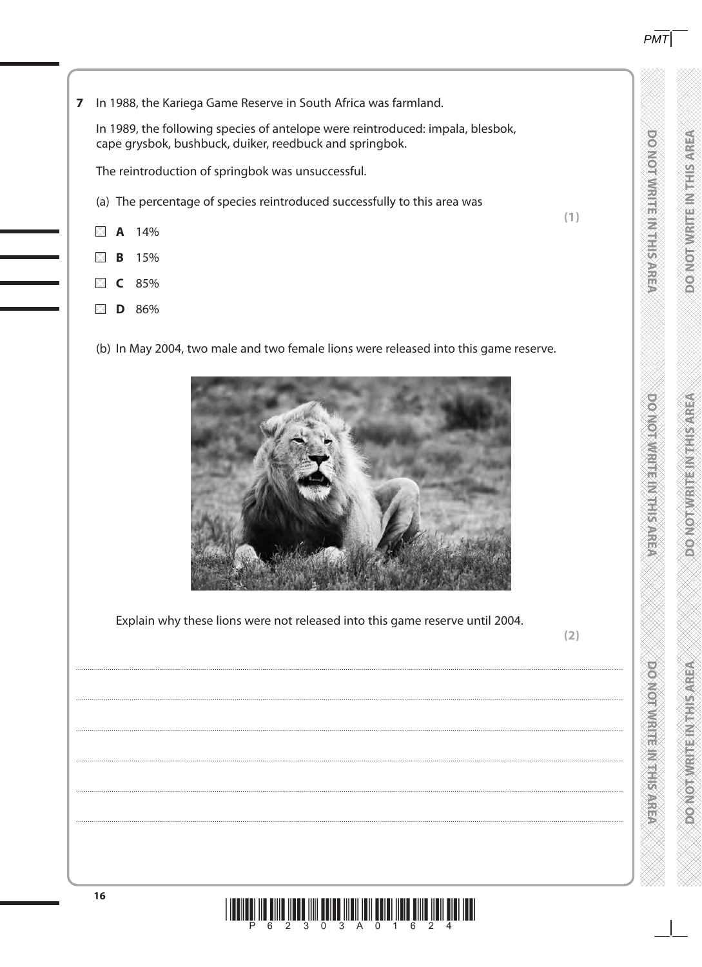$(1)$ 

**PONONNA PRESENTANCIA SOLONO** 

In 1988, the Kariega Game Reserve in South Africa was farmland.  $\overline{7}$ 

In 1989, the following species of antelope were reintroduced: impala, blesbok, cape grysbok, bushbuck, duiker, reedbuck and springbok.

The reintroduction of springbok was unsuccessful.

- (a) The percentage of species reintroduced successfully to this area was
- **A** 14%
- X 15% B
- C 85%
- **D** 86%





Explain why these lions were not released into this game reserve until 2004.

 $(2)$ 

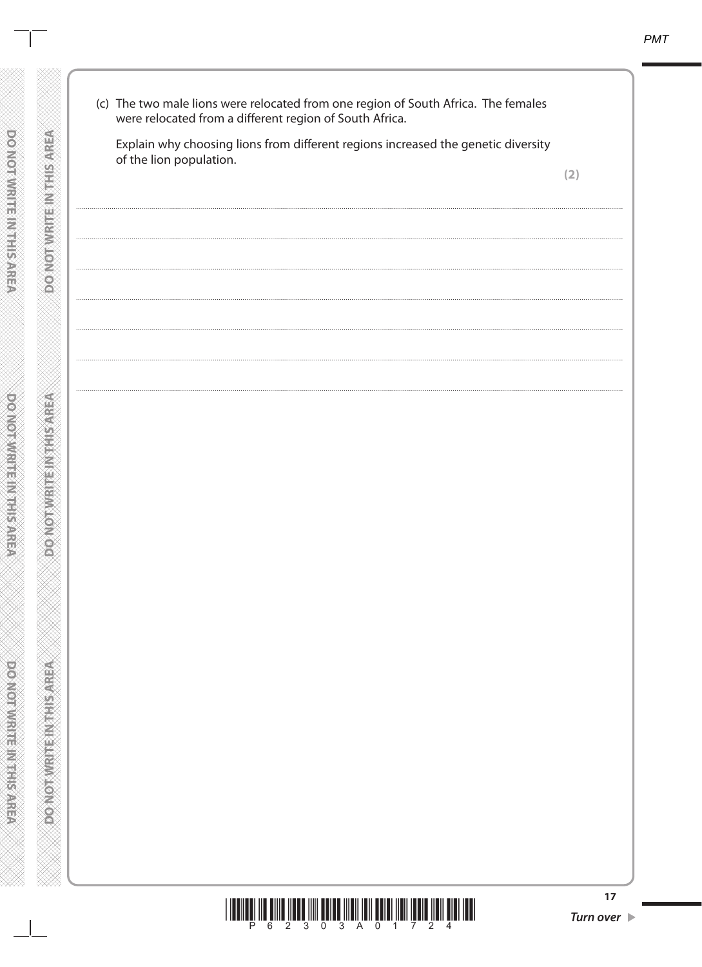| (c) The two male lions were relocated from one region of South Africa. The females |  |
|------------------------------------------------------------------------------------|--|
| were relocated from a different region of South Africa.                            |  |

Explain why choosing lions from different regions increased the genetic diversity of the lion population.

 $(2)$ 

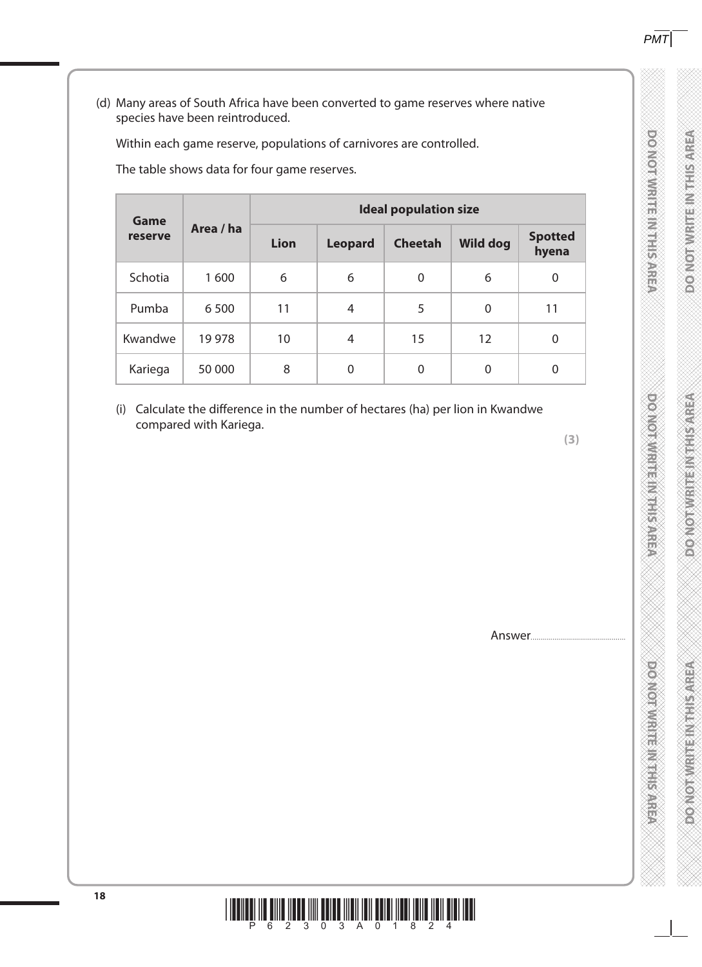DONOTWRITE IN THIS AREA

**DO NOT WRITE IN THE INTERNATIONAL CONTRACTOR** 

**DO NOT WRITE IN THIS AREA** 

### (d) Many areas of South Africa have been converted to game reserves where native species have been reintroduced.

Within each game reserve, populations of carnivores are controlled.

The table shows data for four game reserves.

| Game    |           | <b>Ideal population size</b> |                |                |                 |                         |
|---------|-----------|------------------------------|----------------|----------------|-----------------|-------------------------|
| reserve | Area / ha | <b>Lion</b>                  | <b>Leopard</b> | <b>Cheetah</b> | <b>Wild dog</b> | <b>Spotted</b><br>hyena |
| Schotia | 1600      | 6                            | 6              | $\overline{0}$ | 6               | $\mathbf 0$             |
| Pumba   | 6500      | 11                           | 4              | 5              | 0               | 11                      |
| Kwandwe | 19 978    | 10                           | 4              | 15             | 12              | 0                       |
| Kariega | 50 000    | 8                            | 0              | 0              | 0               | 0                       |

 (i) Calculate the difference in the number of hectares (ha) per lion in Kwandwe compared with Kariega.

**(3)**

Answer................................................

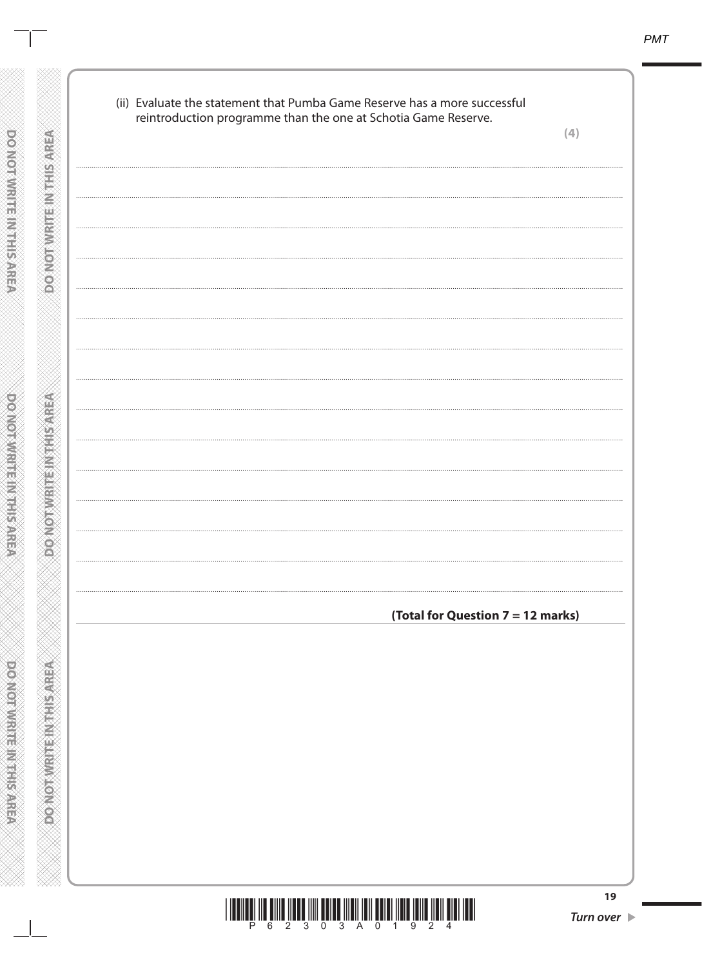| (ii) Evaluate the statement that Pumba Game Reserve has a more successful<br>reintroduction programme than the one at Schotia Game Reserve. |     |
|---------------------------------------------------------------------------------------------------------------------------------------------|-----|
|                                                                                                                                             | (4) |
|                                                                                                                                             |     |
|                                                                                                                                             |     |
|                                                                                                                                             |     |
|                                                                                                                                             |     |
|                                                                                                                                             |     |
|                                                                                                                                             |     |
|                                                                                                                                             |     |
|                                                                                                                                             |     |
|                                                                                                                                             |     |
|                                                                                                                                             |     |
|                                                                                                                                             |     |
|                                                                                                                                             |     |
|                                                                                                                                             |     |
|                                                                                                                                             |     |
|                                                                                                                                             |     |
|                                                                                                                                             |     |
|                                                                                                                                             |     |
|                                                                                                                                             |     |
|                                                                                                                                             |     |
|                                                                                                                                             |     |
|                                                                                                                                             |     |
|                                                                                                                                             |     |
|                                                                                                                                             |     |
|                                                                                                                                             |     |
|                                                                                                                                             |     |
|                                                                                                                                             |     |
|                                                                                                                                             |     |
| (Total for Question 7 = 12 marks)                                                                                                           |     |
|                                                                                                                                             |     |
|                                                                                                                                             |     |
|                                                                                                                                             |     |
|                                                                                                                                             |     |
|                                                                                                                                             |     |
|                                                                                                                                             |     |
|                                                                                                                                             |     |
|                                                                                                                                             |     |
|                                                                                                                                             |     |
|                                                                                                                                             |     |
|                                                                                                                                             |     |
|                                                                                                                                             |     |
|                                                                                                                                             |     |
|                                                                                                                                             |     |
|                                                                                                                                             |     |

 $\begin{array}{c|c|c|c|c|c|c|c} \hline & \text{if} & \text{if} & \text{if} & \text{if} & \text{if} & \text{if} & \text{if} & \text{if} & \text{if} & \text{if} & \text{if} & \text{if} & \text{if} & \text{if} & \text{if} & \text{if} & \text{if} & \text{if} & \text{if} & \text{if} & \text{if} & \text{if} & \text{if} & \text{if} & \text{if} & \text{if} & \text{if} & \text{if} & \text{if} & \text{if} & \text{if} & \text{if} & \text{$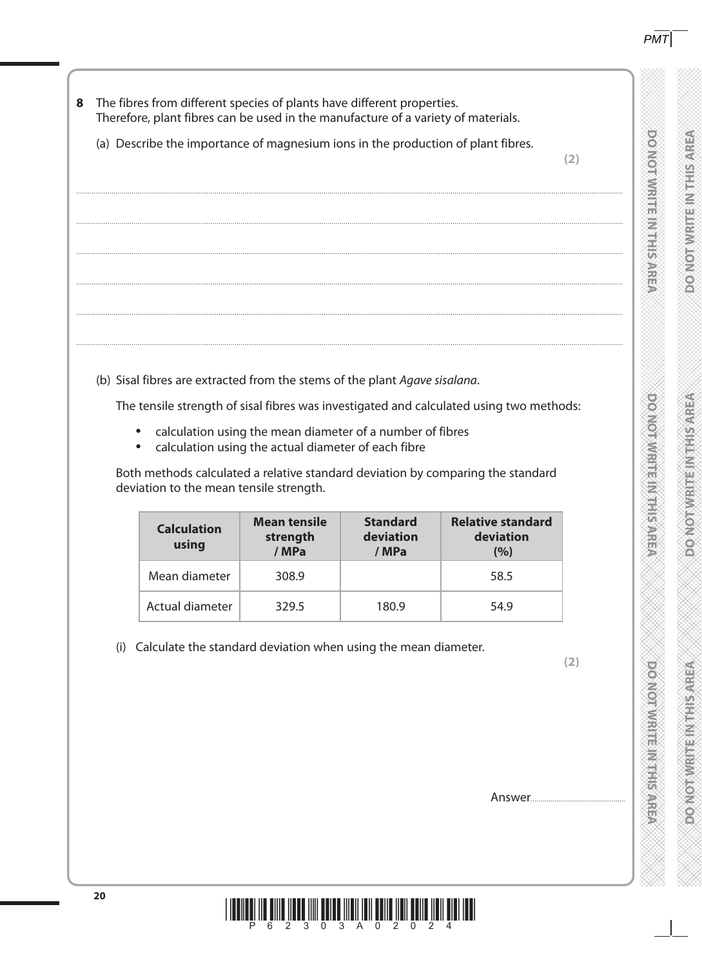**PONODIAMENT RESERVE** 

**8** The fibres from different species of plants have different properties. Therefore, plant fibres can be used in the manufacture of a variety of materials.

(a) Describe the importance of magnesium ions in the production of plant fibres.

(b) Sisal fibres are extracted from the stems of the plant *Agave sisalana*.

The tensile strength of sisal fibres was investigated and calculated using two methods:

....................................................................................................................................................................................................................................................................................

....................................................................................................................................................................................................................................................................................

....................................................................................................................................................................................................................................................................................

....................................................................................................................................................................................................................................................................................

- **•** calculation using the mean diameter of a number of fibres
- **•** calculation using the actual diameter of each fibre

 Both methods calculated a relative standard deviation by comparing the standard deviation to the mean tensile strength.

| <b>Calculation</b><br>using | <b>Mean tensile</b><br>strength<br>/ MPa | <b>Standard</b><br>deviation<br>/ MPa | <b>Relative standard</b><br>deviation<br>(%) |
|-----------------------------|------------------------------------------|---------------------------------------|----------------------------------------------|
| Mean diameter               | 308.9                                    |                                       | 58.5                                         |
| Actual diameter             | 329.5                                    | 180.9                                 | 54.9                                         |

(i) Calculate the standard deviation when using the mean diameter.

**(2)**

Answer.............

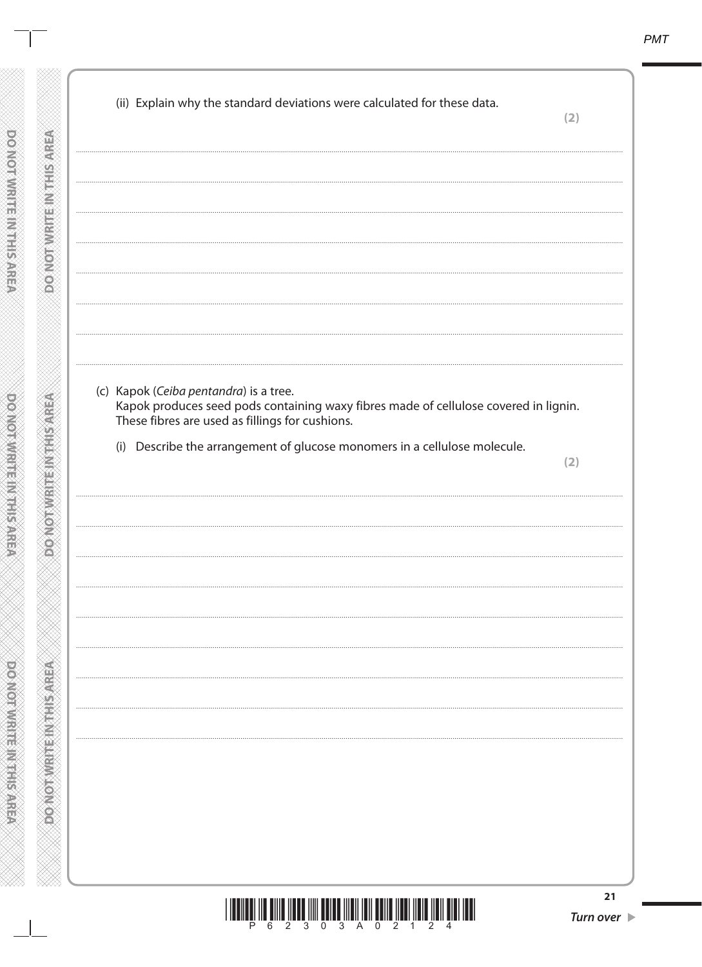| (ii) Explain why the standard deviations were calculated for these data.                                                                                                          | (2) |
|-----------------------------------------------------------------------------------------------------------------------------------------------------------------------------------|-----|
|                                                                                                                                                                                   |     |
|                                                                                                                                                                                   |     |
|                                                                                                                                                                                   |     |
|                                                                                                                                                                                   |     |
|                                                                                                                                                                                   |     |
|                                                                                                                                                                                   |     |
|                                                                                                                                                                                   |     |
|                                                                                                                                                                                   |     |
| (c) Kapok (Ceiba pentandra) is a tree.<br>Kapok produces seed pods containing waxy fibres made of cellulose covered in lignin.<br>These fibres are used as fillings for cushions. |     |
| (i) Describe the arrangement of glucose monomers in a cellulose molecule.                                                                                                         | (2) |
|                                                                                                                                                                                   |     |
|                                                                                                                                                                                   |     |
|                                                                                                                                                                                   |     |
|                                                                                                                                                                                   |     |
|                                                                                                                                                                                   |     |
|                                                                                                                                                                                   |     |
|                                                                                                                                                                                   |     |
|                                                                                                                                                                                   |     |
|                                                                                                                                                                                   |     |
|                                                                                                                                                                                   |     |
|                                                                                                                                                                                   |     |
|                                                                                                                                                                                   |     |
|                                                                                                                                                                                   |     |
|                                                                                                                                                                                   |     |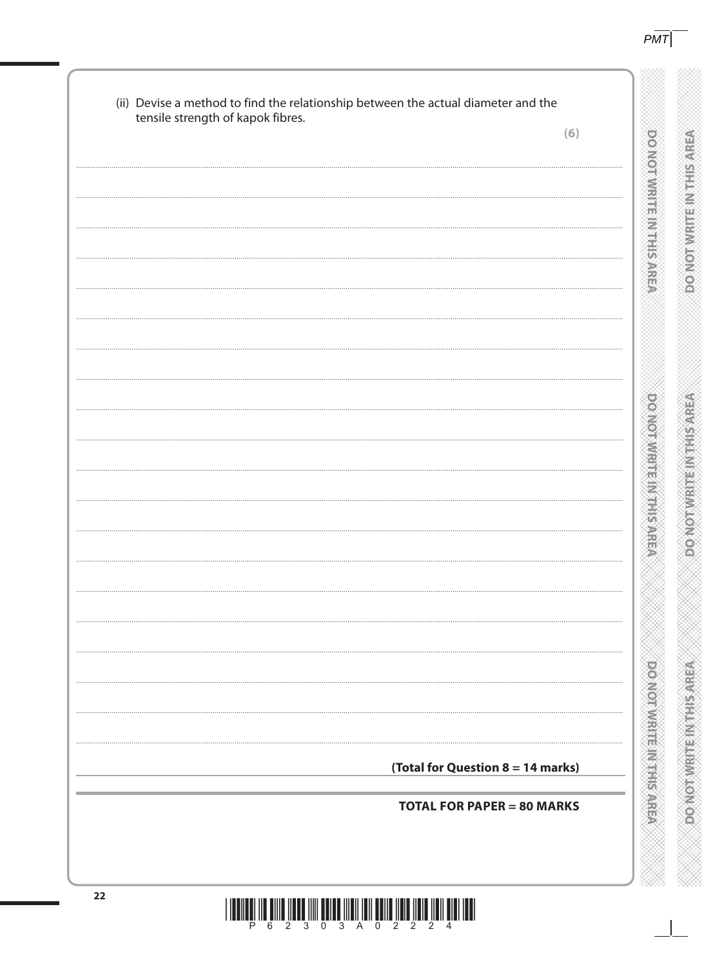| (ii) Devise a method to find the relationship between the actual diameter and the<br>tensile strength of kapok fibres. |                                            |
|------------------------------------------------------------------------------------------------------------------------|--------------------------------------------|
|                                                                                                                        | (6)<br>$\overline{\textbf{S}}$             |
|                                                                                                                        |                                            |
|                                                                                                                        | <b>NOTWRITEIN THIS</b>                     |
|                                                                                                                        |                                            |
|                                                                                                                        |                                            |
|                                                                                                                        |                                            |
|                                                                                                                        | is<br>E                                    |
|                                                                                                                        |                                            |
|                                                                                                                        |                                            |
|                                                                                                                        |                                            |
|                                                                                                                        |                                            |
|                                                                                                                        |                                            |
|                                                                                                                        |                                            |
|                                                                                                                        |                                            |
|                                                                                                                        | 見想                                         |
|                                                                                                                        |                                            |
|                                                                                                                        |                                            |
|                                                                                                                        |                                            |
|                                                                                                                        |                                            |
|                                                                                                                        |                                            |
|                                                                                                                        |                                            |
|                                                                                                                        |                                            |
|                                                                                                                        |                                            |
|                                                                                                                        |                                            |
|                                                                                                                        |                                            |
|                                                                                                                        |                                            |
|                                                                                                                        | <b>POSTER AND RESIDENCE OF A STRATEGIC</b> |
|                                                                                                                        |                                            |
| (Total for Question 8 = 14 marks)                                                                                      |                                            |
|                                                                                                                        |                                            |
| <b>TOTAL FOR PAPER = 80 MARKS</b>                                                                                      |                                            |
|                                                                                                                        |                                            |
|                                                                                                                        |                                            |
|                                                                                                                        |                                            |
|                                                                                                                        |                                            |
| <u> I II DILI III DILI III DILI III DILI III DILI III DILI III DILI III DILI III DILI III </u><br>6                    |                                            |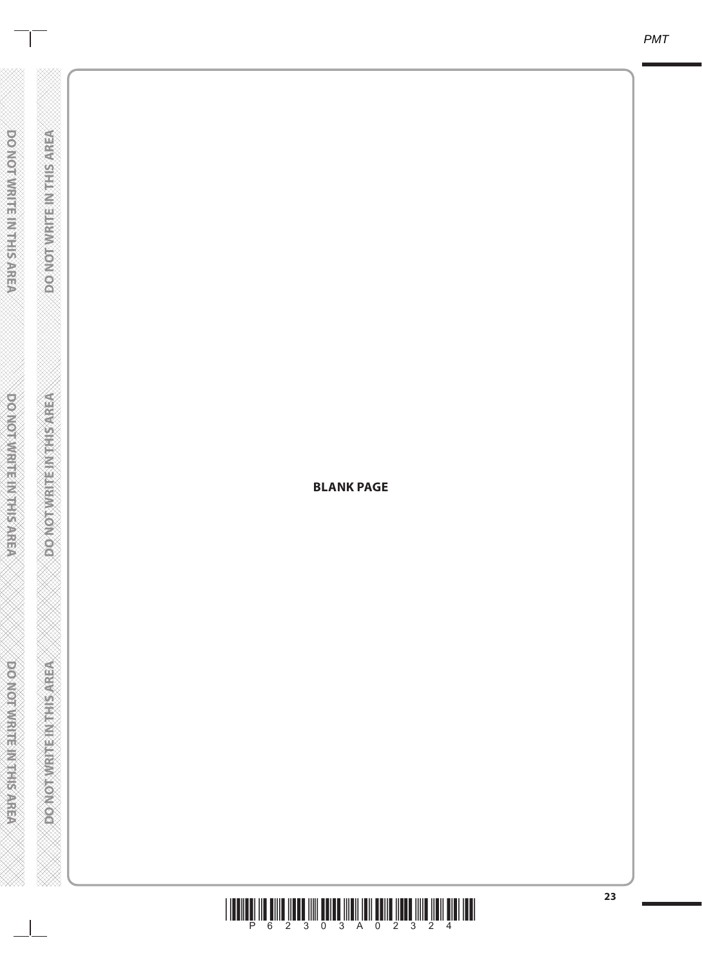